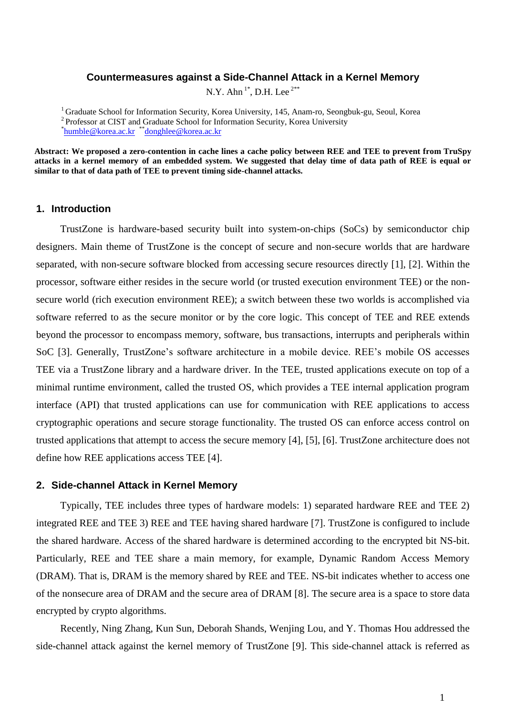### **Countermeasures against a Side-Channel Attack in a Kernel Memory**

N.Y. Ahn  $1^*$ , D.H. Lee  $2^{**}$ 

<sup>1</sup> Graduate School for Information Security, Korea University, 145, Anam-ro, Seongbuk-gu, Seoul, Korea <sup>2</sup> Professor at CIST and Graduate School for Information Security, Korea University \* [humble@korea.ac.kr](mailto:humble@korea.ac.kr)  \*\*[donghlee@](mailto:donghlee@korea.ac.kr)korea.ac.kr

**Abstract: We proposed a zero-contention in cache lines a cache policy between REE and TEE to prevent from TruSpy attacks in a kernel memory of an embedded system. We suggested that delay time of data path of REE is equal or similar to that of data path of TEE to prevent timing side-channel attacks.**

# **1. Introduction**

TrustZone is hardware-based security built into system-on-chips (SoCs) by semiconductor chip designers. Main theme of TrustZone is the concept of secure and non-secure worlds that are hardware separated, with non-secure software blocked from accessing secure resources directly [1], [2]. Within the processor, software either resides in the secure world (or trusted execution environment TEE) or the nonsecure world (rich execution environment REE); a switch between these two worlds is accomplished via software referred to as the secure monitor or by the core logic. This concept of TEE and REE extends beyond the processor to encompass memory, software, bus transactions, interrupts and peripherals within SoC [3]. Generally, TrustZone's software architecture in a mobile device. REE's mobile OS accesses TEE via a TrustZone library and a hardware driver. In the TEE, trusted applications execute on top of a minimal runtime environment, called the trusted OS, which provides a TEE internal application program interface (API) that trusted applications can use for communication with REE applications to access cryptographic operations and secure storage functionality. The trusted OS can enforce access control on trusted applications that attempt to access the secure memory [4], [5], [6]. TrustZone architecture does not define how REE applications access TEE [4].

#### **2. Side-channel Attack in Kernel Memory**

Typically, TEE includes three types of hardware models: 1) separated hardware REE and TEE 2) integrated REE and TEE 3) REE and TEE having shared hardware [7]. TrustZone is configured to include the shared hardware. Access of the shared hardware is determined according to the encrypted bit NS-bit. Particularly, REE and TEE share a main memory, for example, Dynamic Random Access Memory (DRAM). That is, DRAM is the memory shared by REE and TEE. NS-bit indicates whether to access one of the nonsecure area of DRAM and the secure area of DRAM [8]. The secure area is a space to store data encrypted by crypto algorithms.

Recently, Ning Zhang, Kun Sun, Deborah Shands, Wenjing Lou, and Y. Thomas Hou addressed the side-channel attack against the kernel memory of TrustZone [9]. This side-channel attack is referred as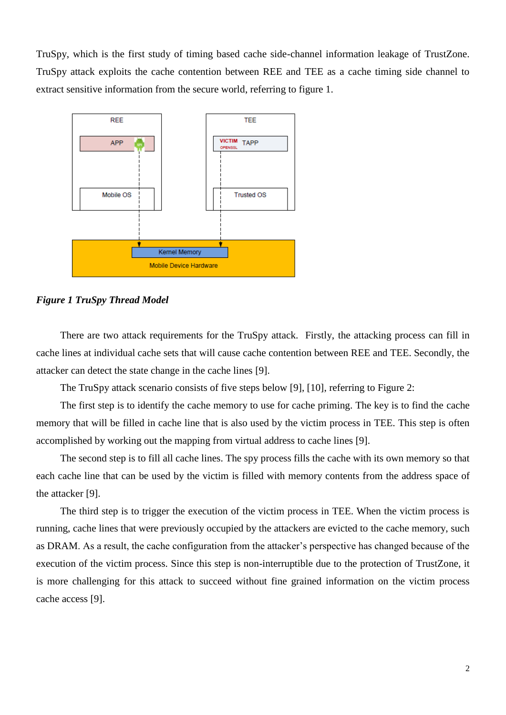TruSpy, which is the first study of timing based cache side-channel information leakage of TrustZone. TruSpy attack exploits the cache contention between REE and TEE as a cache timing side channel to extract sensitive information from the secure world, referring to figure 1.



#### *Figure 1 TruSpy Thread Model*

There are two attack requirements for the TruSpy attack. Firstly, the attacking process can fill in cache lines at individual cache sets that will cause cache contention between REE and TEE. Secondly, the attacker can detect the state change in the cache lines [9].

The TruSpy attack scenario consists of five steps below [9], [10], referring to Figure 2:

The first step is to identify the cache memory to use for cache priming. The key is to find the cache memory that will be filled in cache line that is also used by the victim process in TEE. This step is often accomplished by working out the mapping from virtual address to cache lines [9].

The second step is to fill all cache lines. The spy process fills the cache with its own memory so that each cache line that can be used by the victim is filled with memory contents from the address space of the attacker [9].

The third step is to trigger the execution of the victim process in TEE. When the victim process is running, cache lines that were previously occupied by the attackers are evicted to the cache memory, such as DRAM. As a result, the cache configuration from the attacker's perspective has changed because of the execution of the victim process. Since this step is non-interruptible due to the protection of TrustZone, it is more challenging for this attack to succeed without fine grained information on the victim process cache access [9].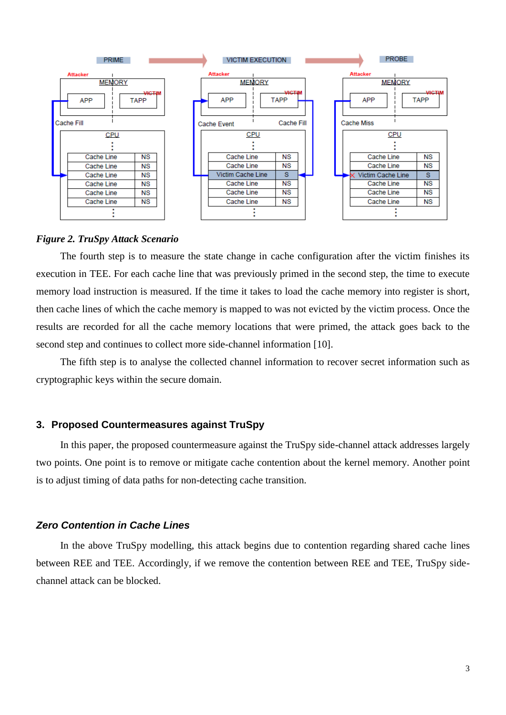

# *Figure 2. TruSpy Attack Scenario*

The fourth step is to measure the state change in cache configuration after the victim finishes its execution in TEE. For each cache line that was previously primed in the second step, the time to execute memory load instruction is measured. If the time it takes to load the cache memory into register is short, then cache lines of which the cache memory is mapped to was not evicted by the victim process. Once the results are recorded for all the cache memory locations that were primed, the attack goes back to the second step and continues to collect more side-channel information [10].

The fifth step is to analyse the collected channel information to recover secret information such as cryptographic keys within the secure domain.

## **3. Proposed Countermeasures against TruSpy**

In this paper, the proposed countermeasure against the TruSpy side-channel attack addresses largely two points. One point is to remove or mitigate cache contention about the kernel memory. Another point is to adjust timing of data paths for non-detecting cache transition.

### *Zero Contention in Cache Lines*

In the above TruSpy modelling, this attack begins due to contention regarding shared cache lines between REE and TEE. Accordingly, if we remove the contention between REE and TEE, TruSpy sidechannel attack can be blocked.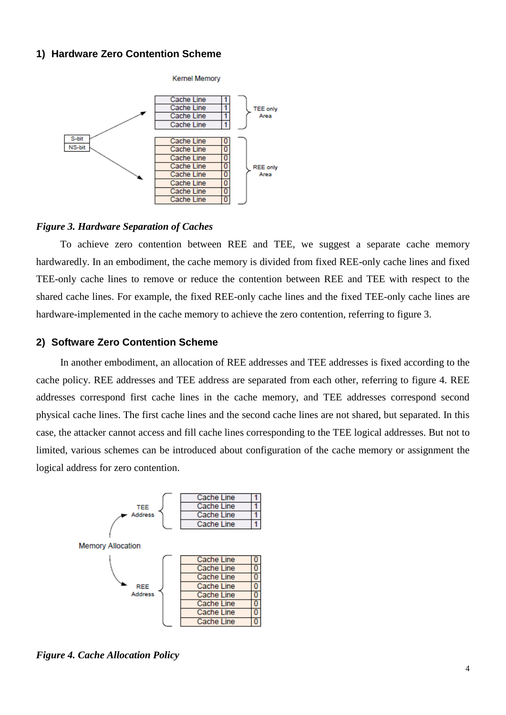# **1) Hardware Zero Contention Scheme**



#### *Figure 3. Hardware Separation of Caches*

To achieve zero contention between REE and TEE, we suggest a separate cache memory hardwaredly. In an embodiment, the cache memory is divided from fixed REE-only cache lines and fixed TEE-only cache lines to remove or reduce the contention between REE and TEE with respect to the shared cache lines. For example, the fixed REE-only cache lines and the fixed TEE-only cache lines are hardware-implemented in the cache memory to achieve the zero contention, referring to figure 3.

## **2) Software Zero Contention Scheme**

In another embodiment, an allocation of REE addresses and TEE addresses is fixed according to the cache policy. REE addresses and TEE address are separated from each other, referring to figure 4. REE addresses correspond first cache lines in the cache memory, and TEE addresses correspond second physical cache lines. The first cache lines and the second cache lines are not shared, but separated. In this case, the attacker cannot access and fill cache lines corresponding to the TEE logical addresses. But not to limited, various schemes can be introduced about configuration of the cache memory or assignment the logical address for zero contention.



*Figure 4. Cache Allocation Policy*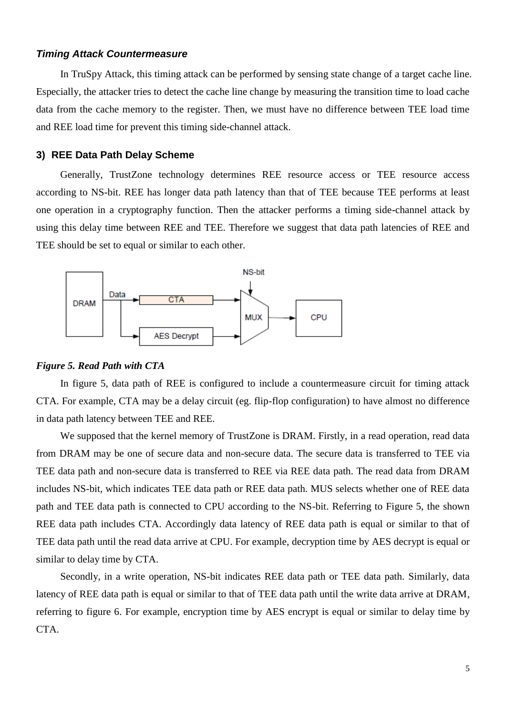# *Timing Attack Countermeasure*

In TruSpy Attack, this timing attack can be performed by sensing state change of a target cache line. Especially, the attacker tries to detect the cache line change by measuring the transition time to load cache data from the cache memory to the register. Then, we must have no difference between TEE load time and REE load time for prevent this timing side-channel attack.

# **3) REE Data Path Delay Scheme**

Generally, TrustZone technology determines REE resource access or TEE resource access according to NS-bit. REE has longer data path latency than that of TEE because TEE performs at least one operation in a cryptography function. Then the attacker performs a timing side-channel attack by using this delay time between REE and TEE. Therefore we suggest that data path latencies of REE and TEE should be set to equal or similar to each other.



### *Figure 5. Read Path with CTA*

In figure 5, data path of REE is configured to include a countermeasure circuit for timing attack CTA. For example, CTA may be a delay circuit (eg. flip-flop configuration) to have almost no difference in data path latency between TEE and REE.

We supposed that the kernel memory of TrustZone is DRAM. Firstly, in a read operation, read data from DRAM may be one of secure data and non-secure data. The secure data is transferred to TEE via TEE data path and non-secure data is transferred to REE via REE data path. The read data from DRAM includes NS-bit, which indicates TEE data path or REE data path. MUS selects whether one of REE data path and TEE data path is connected to CPU according to the NS-bit. Referring to Figure 5, the shown REE data path includes CTA. Accordingly data latency of REE data path is equal or similar to that of TEE data path until the read data arrive at CPU. For example, decryption time by AES decrypt is equal or similar to delay time by CTA.

Secondly, in a write operation, NS-bit indicates REE data path or TEE data path. Similarly, data latency of REE data path is equal or similar to that of TEE data path until the write data arrive at DRAM, referring to figure 6. For example, encryption time by AES encrypt is equal or similar to delay time by CTA.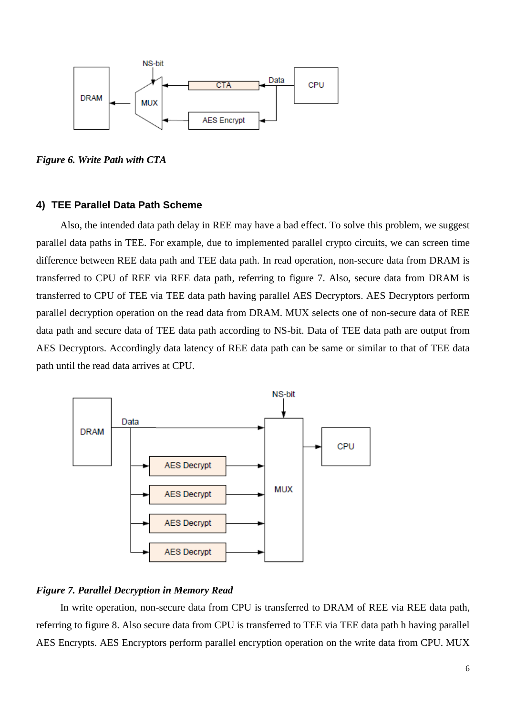

*Figure 6. Write Path with CTA*

### **4) TEE Parallel Data Path Scheme**

Also, the intended data path delay in REE may have a bad effect. To solve this problem, we suggest parallel data paths in TEE. For example, due to implemented parallel crypto circuits, we can screen time difference between REE data path and TEE data path. In read operation, non-secure data from DRAM is transferred to CPU of REE via REE data path, referring to figure 7. Also, secure data from DRAM is transferred to CPU of TEE via TEE data path having parallel AES Decryptors. AES Decryptors perform parallel decryption operation on the read data from DRAM. MUX selects one of non-secure data of REE data path and secure data of TEE data path according to NS-bit. Data of TEE data path are output from AES Decryptors. Accordingly data latency of REE data path can be same or similar to that of TEE data path until the read data arrives at CPU.



# *Figure 7. Parallel Decryption in Memory Read*

In write operation, non-secure data from CPU is transferred to DRAM of REE via REE data path, referring to figure 8. Also secure data from CPU is transferred to TEE via TEE data path h having parallel AES Encrypts. AES Encryptors perform parallel encryption operation on the write data from CPU. MUX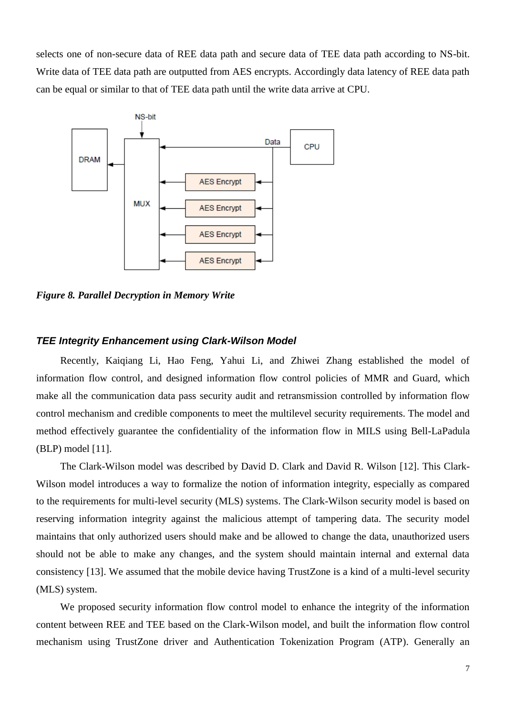selects one of non-secure data of REE data path and secure data of TEE data path according to NS-bit. Write data of TEE data path are outputted from AES encrypts. Accordingly data latency of REE data path can be equal or similar to that of TEE data path until the write data arrive at CPU.



*Figure 8. Parallel Decryption in Memory Write*

# *TEE Integrity Enhancement using Clark-Wilson Model*

Recently, Kaiqiang Li, Hao Feng, Yahui Li, and Zhiwei Zhang established the model of information flow control, and designed information flow control policies of MMR and Guard, which make all the communication data pass security audit and retransmission controlled by information flow control mechanism and credible components to meet the multilevel security requirements. The model and method effectively guarantee the confidentiality of the information flow in MILS using Bell-LaPadula (BLP) model [11].

The Clark-Wilson model was described by David D. Clark and David R. Wilson [12]. This Clark-Wilson model introduces a way to formalize the notion of information integrity, especially as compared to the requirements for multi-level security (MLS) systems. The Clark-Wilson security model is based on reserving information integrity against the malicious attempt of tampering data. The security model maintains that only authorized users should make and be allowed to change the data, unauthorized users should not be able to make any changes, and the system should maintain internal and external data consistency [13]. We assumed that the mobile device having TrustZone is a kind of a multi-level security (MLS) system.

We proposed security information flow control model to enhance the integrity of the information content between REE and TEE based on the Clark-Wilson model, and built the information flow control mechanism using TrustZone driver and Authentication Tokenization Program (ATP). Generally an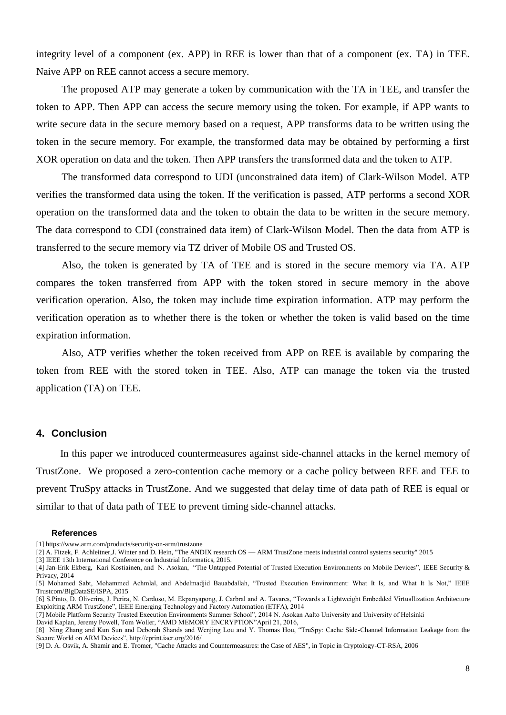integrity level of a component (ex. APP) in REE is lower than that of a component (ex. TA) in TEE. Naive APP on REE cannot access a secure memory.

The proposed ATP may generate a token by communication with the TA in TEE, and transfer the token to APP. Then APP can access the secure memory using the token. For example, if APP wants to write secure data in the secure memory based on a request, APP transforms data to be written using the token in the secure memory. For example, the transformed data may be obtained by performing a first XOR operation on data and the token. Then APP transfers the transformed data and the token to ATP.

The transformed data correspond to UDI (unconstrained data item) of Clark-Wilson Model. ATP verifies the transformed data using the token. If the verification is passed, ATP performs a second XOR operation on the transformed data and the token to obtain the data to be written in the secure memory. The data correspond to CDI (constrained data item) of Clark-Wilson Model. Then the data from ATP is transferred to the secure memory via TZ driver of Mobile OS and Trusted OS.

Also, the token is generated by TA of TEE and is stored in the secure memory via TA. ATP compares the token transferred from APP with the token stored in secure memory in the above verification operation. Also, the token may include time expiration information. ATP may perform the verification operation as to whether there is the token or whether the token is valid based on the time expiration information.

Also, ATP verifies whether the token received from APP on REE is available by comparing the token from REE with the stored token in TEE. Also, ATP can manage the token via the trusted application (TA) on TEE.

# **4. Conclusion**

In this paper we introduced countermeasures against side-channel attacks in the kernel memory of TrustZone. We proposed a zero-contention cache memory or a cache policy between REE and TEE to prevent TruSpy attacks in TrustZone. And we suggested that delay time of data path of REE is equal or similar to that of data path of TEE to prevent timing side-channel attacks.

#### **References**

- [1]<https://www.arm.com/products/security-on-arm/trustzone>
- [2] A. Fitzek, F. Achleitner,J. Winter and D. Hein, "The ANDIX research OS ARM TrustZone meets industrial control systems security" 2015
- [3] IEEE 13th International Conference on Industrial Informatics, 2015.

<sup>[4]</sup> Jan-Erik Ekberg, Kari Kostiainen, and N. Asokan, "The Untapped Potential of Trusted Execution Environments on Mobile Devices", IEEE Security & Privacy, 2014

<sup>[5]</sup> Mohamed Sabt, Mohammed Achmlal, and Abdelmadjid Bauabdallah, "Trusted Execution Environment: What It Is, and What It Is Not," IEEE Trustcom/BigDataSE/ISPA, 2015

<sup>[6]</sup> S.Pinto, D. Oliverira, J. Perira, N. Cardoso, M. Ekpanyapong, J. Carbral and A. Tavares, "Towards a Lightweight Embedded Virtuallization Architecture Exploiting ARM TrustZone", IEEE Emerging Technology and Factory Automation (ETFA), 2014

<sup>[7]</sup> Mobile Platform Security Trusted Execution Environments Summer School", 2014 N. Asokan Aalto University and University of Helsinki David Kaplan, Jeremy Powell, Tom Woller, "AMD MEMORY ENCRYPTION"April 21, 2016,

<sup>[8]</sup> Ning Zhang and Kun Sun and Deborah Shands and Wenjing Lou and Y. Thomas Hou, "TruSpy: Cache Side-Channel Information Leakage from the Secure World on ARM Devices", http://eprint.iacr.org/2016/

<sup>[9]</sup> D. A. Osvik, A. Shamir and E. Tromer, "Cache Attacks and Countermeasures: the Case of AES", in Topic in Cryptology-CT-RSA, 2006